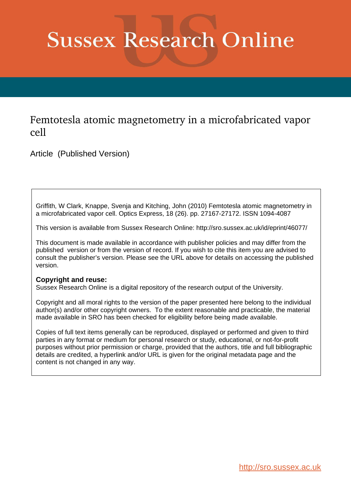# **Sussex Research Online**

# Femtotesla atomic magnetometry in a microfabricated vapor cell

Article (Published Version)

Griffith, W Clark, Knappe, Svenja and Kitching, John (2010) Femtotesla atomic magnetometry in a microfabricated vapor cell. Optics Express, 18 (26). pp. 27167-27172. ISSN 1094-4087

This version is available from Sussex Research Online: http://sro.sussex.ac.uk/id/eprint/46077/

This document is made available in accordance with publisher policies and may differ from the published version or from the version of record. If you wish to cite this item you are advised to consult the publisher's version. Please see the URL above for details on accessing the published version.

## **Copyright and reuse:**

Sussex Research Online is a digital repository of the research output of the University.

Copyright and all moral rights to the version of the paper presented here belong to the individual author(s) and/or other copyright owners. To the extent reasonable and practicable, the material made available in SRO has been checked for eligibility before being made available.

Copies of full text items generally can be reproduced, displayed or performed and given to third parties in any format or medium for personal research or study, educational, or not-for-profit purposes without prior permission or charge, provided that the authors, title and full bibliographic details are credited, a hyperlink and/or URL is given for the original metadata page and the content is not changed in any way.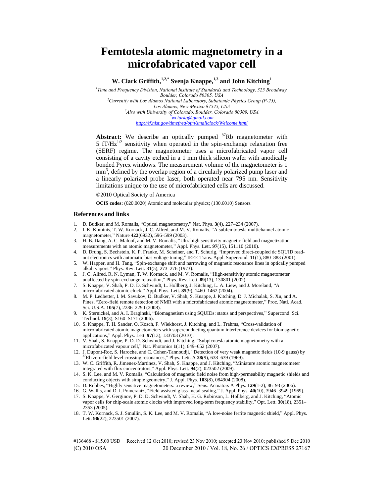## **Femtotesla atomic magnetometry in a microfabricated vapor cell**

### **W. Clark Griffith,1,2,\* Svenja Knappe,1,3 and John Kitching<sup>1</sup>**

*1 Time and Frequency Division, National Institute of Standards and Technology, 325 Broadway, Boulder, Colorado 80305, USA <sup>2</sup>Currently with Los Alamos National Laboratory, Subatomic Physics Group (P-25), Los Alamos, New Mexico 87545, USA <sup>3</sup>Also with University of Colorado, Boulder, Colorado 80309, USA \*[wclarkg@gmail.com](mailto:*wclarkg@gmail.com) http://tf.nist.gov/timefreq/ofm/smallclock/Welcome.html*

Abstract: We describe an optically pumped <sup>87</sup>Rb magnetometer with 5  $f T / Hz^{1/2}$  sensitivity when operated in the spin-exchange relaxation free (SERF) regime. The magnetometer uses a microfabricated vapor cell consisting of a cavity etched in a 1 mm thick silicon wafer with anodically bonded Pyrex windows. The measurement volume of the magnetometer is 1 mm<sup>3</sup>, defined by the overlap region of a circularly polarized pump laser and a linearly polarized probe laser, both operated near 795 nm. Sensitivity limitations unique to the use of microfabricated cells are discussed.

©2010 Optical Society of America

**OCIS codes:** (020.0020) Atomic and molecular physics; (130.6010) Sensors.

#### **References and links**

- 1. D. Budker, and M. Romalis, "Optical magnetometry," Nat. Phys. **3**(4), 227–234 (2007).
- 2. I. K. Kominis, T. W. Kornack, J. C. Allred, and M. V. Romalis, "A subfemtotesla multichannel atomic magnetometer," Nature **422**(6932), 596–599 (2003).
- 3. H. B. Dang, A. C. Maloof, and M. V. Romalis, "Ultrahigh sensitivity magnetic field and magnetization measurements with an atomic magnetometer," Appl. Phys. Lett. **97**(15), 151110 (2010).
- 4. D. Drung, S. Bechstein, K. P. Franke, M. Scheiner, and T. Schurig, "Improved direct-coupled dc SQUID readout electronics with automatic bias voltage tuning," IEEE Trans. Appl. Supercond. **11**(1), 880–883 (2001).
- 5. W. Happer, and H. Tang, "Spin-exchange shift and narrowing of magnetic resonance lines in optically pumped alkali vapors," Phys. Rev. Lett. **31**(5), 273–276 (1973).
- 6. J. C. Allred, R. N. Lyman, T. W. Kornack, and M. V. Romalis, "High-sensitivity atomic magnetometer unaffected by spin-exchange relaxation," Phys. Rev. Lett. **89**(13), 130801 (2002).
- 7. S. Knappe, V. Shah, P. D. D. Schwindt, L. Hollberg, J. Kitching, L. A. Liew, and J. Moreland, "A microfabricated atomic clock," Appl. Phys. Lett. **85**(9), 1460–1462 (2004).
- 8. M. P. Ledbetter, I. M. Savukov, D. Budker, V. Shah, S. Knappe, J. Kitching, D. J. Michalak, S. Xu, and A. Pines, "Zero-field remote detection of NMR with a microfabricated atomic magnetometer," Proc. Natl. Acad. Sci. U.S.A. **105**(7), 2286–2290 (2008).
- 9. K. Sternickel, and A. I. Braginski, "Biomagnetism using SQUIDs: status and perspectives," Supercond. Sci. Technol. **19**(3), S160–S171 (2006).
- 10. S. Knappe, T. H. Sander, O. Kosch, F. Wiekhorst, J. Kitching, and L. Trahms, "Cross-validation of microfabricated atomic magnetometers with superconducting quantum interference devices for biomagnetic applications," Appl. Phys. Lett. **97**(13), 133703 (2010).
- 11. V. Shah, S. Knappe, P. D. D. Schwindt, and J. Kitching, "Subpicotesla atomic magnetometry with a microfabricated vapour cell," Nat. Photonics **1**(11), 649–652 (2007).
- 12. J. Dupont-Roc, S. Haroche, and C. Cohen-Tannoudji, "Detection of very weak magnetic fields (10-9 gauss) by <sup>87</sup>Rb zero-field level crossing resonances," Phys. Lett. A **28**(9), 638–639 (1969).
- 13. W. C. Griffith, R. Jimenez-Martinez, V. Shah, S. Knappe, and J. Kitching, "Miniature atomic magnetometer integrated with flux concentrators," Appl. Phys. Lett. **94**(2), 023502 (2009).
- 14. S. K. Lee, and M. V. Romalis, "Calculation of magnetic field noise from high-permeability magnetic shields and conducting objects with simple geometry," J. Appl. Phys. **103**(8), 084904 (2008).
- 15. D. Robbes, "Highly sensitive magnetometers: a review," Sens. Actuators A Phys. **129**(1-2), 86–93 (2006).
- 16. G. Wallis, and D. I. Pomerantz, "Field assisted glass-metal sealing," J. Appl. Phys. **40**(10), 3946–3949 (1969).
- 17. S. Knappe, V. Gerginov, P. D. D. Schwindt, V. Shah, H. G. Robinson, L. Hollberg, and J. Kitching, "Atomic vapor cells for chip-scale atomic clocks with improved long-term frequency stability," Opt. Lett. **30**(18), 2351– 2353 (2005).
- 18. T. W. Kornack, S. J. Smullin, S. K. Lee, and M. V. Romalis, "A low-noise ferrite magnetic shield," Appl. Phys. Lett. **90**(22), 223501 (2007).

#136468 - \$15.00 USD Received 12 Oct 2010; revised 23 Nov 2010; accepted 23 Nov 2010; published 9 Dec 2010 (C) 2010 OSA 20 December 2010 / Vol. 18, No. 26 / OPTICS EXPRESS 27167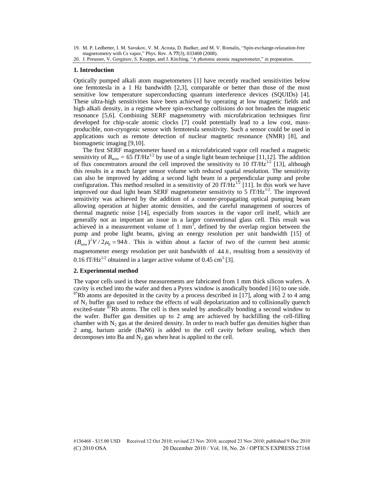19. M. P. Ledbetter, I. M. Savukov, V. M. Acosta, D. Budker, and M. V. Romalis, "Spin-exchange-relaxation-free magnetometry with Cs vapor," Phys. Rev. A **77**(3), 033408 (2008).

#### **1. Introduction**

Optically pumped alkali atom magnetometers [1] have recently reached sensitivities below one femtotesla in a 1 Hz bandwidth [2,3], comparable or better than those of the most sensitive low temperature superconducting quantum interference devices (SQUIDs) [4]. These ultra-high sensitivities have been achieved by operating at low magnetic fields and high alkali density, in a regime where spin-exchange collisions do not broaden the magnetic resonance [5,6]. Combining SERF magnetometry with microfabrication techniques first developed for chip-scale atomic clocks [7] could potentially lead to a low cost, massproducible, non-cryogenic sensor with femtotesla sensitivity. Such a sensor could be used in applications such as remote detection of nuclear magnetic resonance (NMR) [8], and biomagnetic imaging [9,10].

The first SERF magnetometer based on a microfabricated vapor cell reached a magnetic sensitivity of  $B_{\text{grav}} = 65 \text{ fT/Hz}^{1/2}$  by use of a single light beam technique [11,12]. The addition of flux concentrators around the cell improved the sensitivity to  $10 \text{ fT/Hz}^{1/2}$  [13], although this results in a much larger sensor volume with reduced spatial resolution. The sensitivity can also be improved by adding a second light beam in a perpendicular pump and probe configuration. This method resulted in a sensitivity of 20  $fT/\hat{H}z^{1/2}$  [11]. In this work we have improved our dual light beam SERF magnetometer sensitivity to  $5 \text{ fT/Hz}^{1/2}$ . The improved sensitivity was achieved by the addition of a counter-propagating optical pumping beam allowing operation at higher atomic densities, and the careful management of sources of thermal magnetic noise [14], especially from sources in the vapor cell itself, which are generally not as important an issue in a larger conventional glass cell. This result was achieved in a measurement volume of 1 mm<sup>3</sup>, defined by the overlap region between the pump and probe light beams, giving an energy resolution per unit bandwidth [15] of  $(B_{\text{Sens}})^2 V / 2\mu_0 = 94 \hbar$ . This is within about a factor of two of the current best atomic magnetometer energy resolution per unit bandwidth of  $44 h$ , resulting from a sensitivity of 0.16 fT/Hz<sup>1/2</sup> obtained in a larger active volume of 0.45 cm<sup>3</sup> [3].

#### **2. Experimental method**

The vapor cells used in these measurements are fabricated from 1 mm thick silicon wafers. A cavity is etched into the wafer and then a Pyrex window is anodically bonded [16] to one side.  $87Rb$  atoms are deposited in the cavity by a process described in [17], along with 2 to 4 amg of  $N_2$  buffer gas used to reduce the effects of wall depolarization and to collisionally quench excited-state  $87Rb$  atoms. The cell is then sealed by anodically bonding a second window to the wafer. Buffer gas densities up to 2 amg are achieved by backfilling the cell-filling chamber with  $N_2$  gas at the desired density. In order to reach buffer gas densities higher than 2 amg, barium azide (BaN6) is added to the cell cavity before sealing, which then decomposes into Ba and  $N_2$  gas when heat is applied to the cell.

<sup>20.</sup> J. Preusser, V. Gerginov, S. Knappe, and J. Kitching, "A photonic atomic magnetometer," in preparation.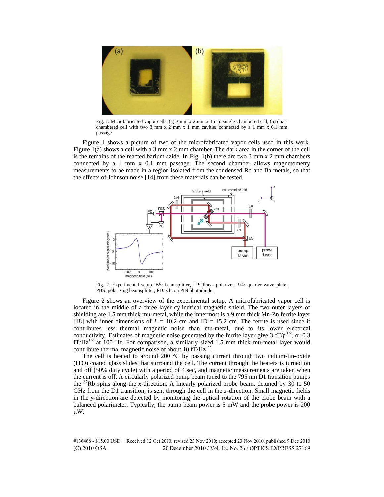

Fig. 1. Microfabricated vapor cells: (a) 3 mm x 2 mm x 1 mm single-chambered cell, (b) dualchambered cell with two 3 mm x 2 mm x 1 mm cavities connected by a 1 mm x 0.1 mm passage.

Figure 1 shows a picture of two of the microfabricated vapor cells used in this work. Figure 1(a) shows a cell with a 3 mm x 2 mm chamber. The dark area in the corner of the cell is the remains of the reacted barium azide. In Fig. 1(b) there are two 3 mm x 2 mm chambers connected by a 1 mm x 0.1 mm passage. The second chamber allows magnetometry measurements to be made in a region isolated from the condensed Rb and Ba metals, so that the effects of Johnson noise [14] from these materials can be tested.



Fig. 2. Experimental setup. BS: beamsplitter, LP: linear polarizer,  $\lambda/4$ : quarter wave plate, PBS: polarizing beamsplitter, PD: silicon PIN photodiode.

Figure 2 shows an overview of the experimental setup. A microfabricated vapor cell is located in the middle of a three layer cylindrical magnetic shield. The two outer layers of shielding are 1.5 mm thick mu-metal, while the innermost is a 9 mm thick Mn-Zn ferrite layer [18] with inner dimensions of  $L = 10.2$  cm and  $ID = 15.2$  cm. The ferrite is used since it contributes less thermal magnetic noise than mu-metal, due to its lower electrical conductivity. Estimates of magnetic noise generated by the ferrite layer give 3  $\text{fT}/f^{1/2}$ , or 0.3  $fT/Hz^{1/2}$  at 100 Hz. For comparison, a similarly sized 1.5 mm thick mu-metal layer would contribute thermal magnetic noise of about 10  $\text{fT}/\text{Hz}^{1/2}$ .

The cell is heated to around 200  $\degree$ C by passing current through two indium-tin-oxide (ITO) coated glass slides that surround the cell. The current through the heaters is turned on and off (50% duty cycle) with a period of 4 sec, and magnetic measurements are taken when the current is off. A circularly polarized pump beam tuned to the 795 nm D1 transition pumps the  ${}^{87}$ Rb spins along the *x*-direction. A linearly polarized probe beam, detuned by 30 to 50 GHz from the D1 transition, is sent through the cell in the *z*-direction. Small magnetic fields in the *y*-direction are detected by monitoring the optical rotation of the probe beam with a balanced polarimeter. Typically, the pump beam power is 5 mW and the probe power is 200 μW.

#136468 - \$15.00 USD Received 12 Oct 2010; revised 23 Nov 2010; accepted 23 Nov 2010; published 9 Dec 2010 (C) 2010 OSA 20 December 2010 / Vol. 18, No. 26 / OPTICS EXPRESS 27169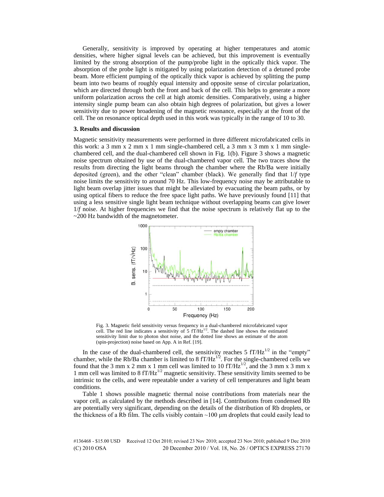Generally, sensitivity is improved by operating at higher temperatures and atomic densities, where higher signal levels can be achieved, but this improvement is eventually limited by the strong absorption of the pump/probe light in the optically thick vapor. The absorption of the probe light is mitigated by using polarization detection of a detuned probe beam. More efficient pumping of the optically thick vapor is achieved by splitting the pump beam into two beams of roughly equal intensity and opposite sense of circular polarization, which are directed through both the front and back of the cell. This helps to generate a more uniform polarization across the cell at high atomic densities. Comparatively, using a higher intensity single pump beam can also obtain high degrees of polarization, but gives a lower sensitivity due to power broadening of the magnetic resonance, especially at the front of the cell. The on resonance optical depth used in this work was typically in the range of 10 to 30.

#### **3. Results and discussion**

Magnetic sensitivity measurements were performed in three different microfabricated cells in this work: a 3 mm x 2 mm x 1 mm single-chambered cell, a 3 mm x 3 mm x 1 mm singlechambered cell, and the dual-chambered cell shown in Fig. 1(b). Figure 3 shows a magnetic noise spectrum obtained by use of the dual-chambered vapor cell. The two traces show the results from directing the light beams through the chamber where the Rb/Ba were initially deposited (green), and the other "clean" chamber (black). We generally find that 1/*f* type noise limits the sensitivity to around 70 Hz. This low-frequency noise may be attributable to light beam overlap jitter issues that might be alleviated by evacuating the beam paths, or by using optical fibers to reduce the free space light paths. We have previously found [11] that using a less sensitive single light beam technique without overlapping beams can give lower 1/*f* noise. At higher frequencies we find that the noise spectrum is relatively flat up to the ~200 Hz bandwidth of the magnetometer.



Fig. 3. Magnetic field sensitivity versus frequency in a dual-chambered microfabricated vapor cell. The red line indicates a sensitivity of 5  $fT/Hz^{1/2}$ . The dashed line shows the estimated sensitivity limit due to photon shot noise, and the dotted line shows an estimate of the atom (spin-projection) noise based on App. A in Ref. [19].

In the case of the dual-chambered cell, the sensitivity reaches 5  $fT/Hz^{1/2}$  in the "empty" chamber, while the Rb/Ba chamber is limited to 8  $fT/Hz^{1/2}$ . For the single-chambered cells we found that the 3 mm x 2 mm x 1 mm cell was limited to 10  $fT/Hz^{1/2}$ , and the 3 mm x 3 mm x 1 mm cell was limited to 8  $fT/Hz^{1/2}$  magnetic sensitivity. These sensitivity limits seemed to be intrinsic to the cells, and were repeatable under a variety of cell temperatures and light beam conditions.

Table 1 shows possible magnetic thermal noise contributions from materials near the vapor cell, as calculated by the methods described in [14]. Contributions from condensed Rb are potentially very significant, depending on the details of the distribution of Rb droplets, or the thickness of a Rb film. The cells visibly contain  $\sim$ 100  $\mu$ m droplets that could easily lead to

#136468 - \$15.00 USD Received 12 Oct 2010; revised 23 Nov 2010; accepted 23 Nov 2010; published 9 Dec 2010 (C) 2010 OSA 20 December 2010 / Vol. 18, No. 26 / OPTICS EXPRESS 27170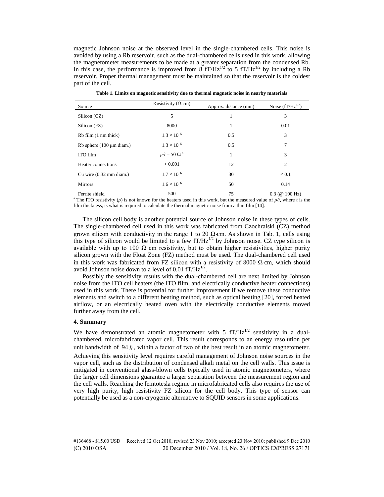magnetic Johnson noise at the observed level in the single-chambered cells. This noise is avoided by using a Rb reservoir, such as the dual-chambered cells used in this work, allowing the magnetometer measurements to be made at a greater separation from the condensed Rb. In this case, the performance is improved from  $\delta$  fT/Hz<sup>1/2</sup> to 5 fT/Hz<sup>1/2</sup> by including a Rb reservoir. Proper thermal management must be maintained so that the reservoir is the coldest part of the cell.

| Source                                    | Resistivity ( $\Omega$ ·cm) | Approx. distance (mm) | Noise $(fT/Hz^{1/2})$ |
|-------------------------------------------|-----------------------------|-----------------------|-----------------------|
| Silicon (CZ)                              | 5                           | 1                     | 3                     |
| Silicon (FZ)                              | 8000                        | 1                     | 0.01                  |
| Rb film (1 nm thick)                      | $1.3 \times 10^{-5}$        | 0.5                   | 3                     |
| Rb sphere $(100 \mu m \text{ diam.})$     | $1.3 \times 10^{-5}$        | 0.5                   | 7                     |
| ITO film                                  | $\rho/t = 50 \Omega^a$      | 1                     | 3                     |
| Heater connections                        | < 0.001                     | 12                    | 2                     |
| Cu wire $(0.32 \text{ mm} \text{ diam.})$ | $1.7 \times 10^{-6}$        | 30                    | < 0.1                 |
| <b>Mirrors</b>                            | $1.6 \times 10^{-6}$        | 50                    | 0.14                  |
| Ferrite shield                            | 500                         | 75                    | $0.3$ (@ 100 Hz)      |

**Table 1. Limits on magnetic sensitivity due to thermal magnetic noise in nearby materials** 

<sup>a</sup> The ITO resistivity ( $\rho$ ) is not known for the heaters used in this work, but the measured value of  $\rho/t$ , where *t* is the film thickness, is what is required to calculate the thermal magnetic noise from a thin film [14].

The silicon cell body is another potential source of Johnson noise in these types of cells. The single-chambered cell used in this work was fabricated from Czochralski (CZ) method grown silicon with conductivity in the range 1 to 20  $\Omega$  cm. As shown in Tab. 1, cells using this type of silicon would be limited to a few  $f T/Hz^{1/2}$  by Johnson noise. CZ type silicon is available with up to 100 Ω cm resistivity, but to obtain higher resistivities, higher purity silicon grown with the Float Zone (FZ) method must be used. The dual-chambered cell used in this work was fabricated from FZ silicon with a resistivity of 8000  $\Omega$  cm, which should avoid Johnson noise down to a level of 0.01  $f T / Hz^{1/2}$ .

Possibly the sensitivity results with the dual-chambered cell are next limited by Johnson noise from the ITO cell heaters (the ITO film, and electrically conductive heater connections) used in this work. There is potential for further improvement if we remove these conductive elements and switch to a different heating method, such as optical heating [20], forced heated airflow, or an electrically heated oven with the electrically conductive elements moved further away from the cell.

#### **4. Summary**

We have demonstrated an atomic magnetometer with 5  $fT/Hz^{1/2}$  sensitivity in a dualchambered, microfabricated vapor cell. This result corresponds to an energy resolution per unit bandwidth of  $94 h$ , within a factor of two of the best result in an atomic magnetometer.

Achieving this sensitivity level requires careful management of Johnson noise sources in the vapor cell, such as the distribution of condensed alkali metal on the cell walls. This issue is mitigated in conventional glass-blown cells typically used in atomic magnetometers, where the larger cell dimensions guarantee a larger separation between the measurement region and the cell walls. Reaching the femtotesla regime in microfabricated cells also requires the use of very high purity, high resistivity FZ silicon for the cell body. This type of sensor can potentially be used as a non-cryogenic alternative to SQUID sensors in some applications.